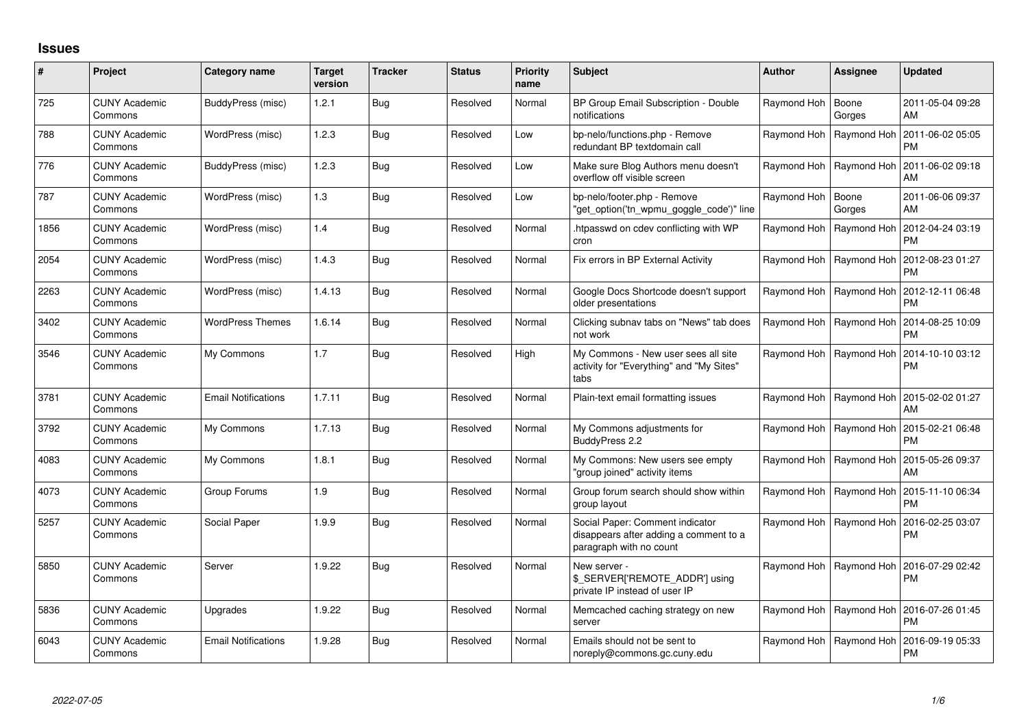## **Issues**

| #    | Project                         | Category name              | <b>Target</b><br>version | <b>Tracker</b> | <b>Status</b> | <b>Priority</b><br>name | Subject                                                                                              | <b>Author</b> | <b>Assignee</b>           | <b>Updated</b>                |
|------|---------------------------------|----------------------------|--------------------------|----------------|---------------|-------------------------|------------------------------------------------------------------------------------------------------|---------------|---------------------------|-------------------------------|
| 725  | <b>CUNY Academic</b><br>Commons | BuddyPress (misc)          | 1.2.1                    | <b>Bug</b>     | Resolved      | Normal                  | BP Group Email Subscription - Double<br>notifications                                                | Raymond Hoh   | Boone<br>Gorges           | 2011-05-04 09:28<br>AM        |
| 788  | <b>CUNY Academic</b><br>Commons | WordPress (misc)           | 1.2.3                    | Bua            | Resolved      | Low                     | bp-nelo/functions.php - Remove<br>redundant BP textdomain call                                       | Raymond Hoh   | Raymond Hoh               | 2011-06-02 05:05<br><b>PM</b> |
| 776  | <b>CUNY Academic</b><br>Commons | BuddyPress (misc)          | 1.2.3                    | Bua            | Resolved      | Low                     | Make sure Blog Authors menu doesn't<br>overflow off visible screen                                   |               | Raymond Hoh   Raymond Hoh | 2011-06-02 09:18<br>AM        |
| 787  | <b>CUNY Academic</b><br>Commons | WordPress (misc)           | 1.3                      | Bug            | Resolved      | Low                     | bp-nelo/footer.php - Remove<br>"get_option('tn_wpmu_goggle_code')" line                              | Raymond Hoh   | Boone<br>Gorges           | 2011-06-06 09:37<br>AM        |
| 1856 | <b>CUNY Academic</b><br>Commons | WordPress (misc)           | 1.4                      | Bug            | Resolved      | Normal                  | htpasswd on cdev conflicting with WP<br>cron                                                         | Raymond Hoh   | Raymond Hoh               | 2012-04-24 03:19<br><b>PM</b> |
| 2054 | <b>CUNY Academic</b><br>Commons | WordPress (misc)           | 1.4.3                    | Bug            | Resolved      | Normal                  | Fix errors in BP External Activity                                                                   |               | Raymond Hoh   Raymond Hoh | 2012-08-23 01:27<br><b>PM</b> |
| 2263 | <b>CUNY Academic</b><br>Commons | WordPress (misc)           | 1.4.13                   | Bug            | Resolved      | Normal                  | Google Docs Shortcode doesn't support<br>older presentations                                         |               | Raymond Hoh   Raymond Hoh | 2012-12-11 06:48<br><b>PM</b> |
| 3402 | <b>CUNY Academic</b><br>Commons | <b>WordPress Themes</b>    | 1.6.14                   | Bug            | Resolved      | Normal                  | Clicking subnav tabs on "News" tab does<br>not work                                                  |               | Raymond Hoh   Raymond Hoh | 2014-08-25 10:09<br><b>PM</b> |
| 3546 | <b>CUNY Academic</b><br>Commons | My Commons                 | 1.7                      | <b>Bug</b>     | Resolved      | High                    | My Commons - New user sees all site<br>activity for "Everything" and "My Sites"<br>tabs              |               | Raymond Hoh   Raymond Hoh | 2014-10-10 03:12<br><b>PM</b> |
| 3781 | <b>CUNY Academic</b><br>Commons | <b>Email Notifications</b> | 1.7.11                   | Bug            | Resolved      | Normal                  | Plain-text email formatting issues                                                                   |               | Raymond Hoh   Raymond Hoh | 2015-02-02 01:27<br>AM        |
| 3792 | <b>CUNY Academic</b><br>Commons | My Commons                 | 1.7.13                   | Bug            | Resolved      | Normal                  | My Commons adjustments for<br>BuddyPress 2.2                                                         |               | Raymond Hoh   Raymond Hoh | 2015-02-21 06:48<br><b>PM</b> |
| 4083 | <b>CUNY Academic</b><br>Commons | My Commons                 | 1.8.1                    | <b>Bug</b>     | Resolved      | Normal                  | My Commons: New users see empty<br>'group joined" activity items                                     |               | Raymond Hoh   Raymond Hoh | 2015-05-26 09:37<br>AM        |
| 4073 | <b>CUNY Academic</b><br>Commons | Group Forums               | 1.9                      | <b>Bug</b>     | Resolved      | Normal                  | Group forum search should show within<br>group layout                                                |               | Raymond Hoh   Raymond Hoh | 2015-11-10 06:34<br><b>PM</b> |
| 5257 | <b>CUNY Academic</b><br>Commons | Social Paper               | 1.9.9                    | <b>Bug</b>     | Resolved      | Normal                  | Social Paper: Comment indicator<br>disappears after adding a comment to a<br>paragraph with no count |               | Raymond Hoh   Raymond Hoh | 2016-02-25 03:07<br><b>PM</b> |
| 5850 | <b>CUNY Academic</b><br>Commons | Server                     | 1.9.22                   | <b>Bug</b>     | Resolved      | Normal                  | New server -<br>\$_SERVER['REMOTE_ADDR'] using<br>private IP instead of user IP                      |               | Raymond Hoh   Raymond Hoh | 2016-07-29 02:42<br><b>PM</b> |
| 5836 | <b>CUNY Academic</b><br>Commons | Upgrades                   | 1.9.22                   | Bug            | Resolved      | Normal                  | Memcached caching strategy on new<br>server                                                          | Raymond Hoh   | Raymond Hoh               | 2016-07-26 01:45<br><b>PM</b> |
| 6043 | <b>CUNY Academic</b><br>Commons | <b>Email Notifications</b> | 1.9.28                   | Bug            | Resolved      | Normal                  | Emails should not be sent to<br>noreply@commons.gc.cuny.edu                                          | Raymond Hoh   | Raymond Hoh               | 2016-09-19 05:33<br><b>PM</b> |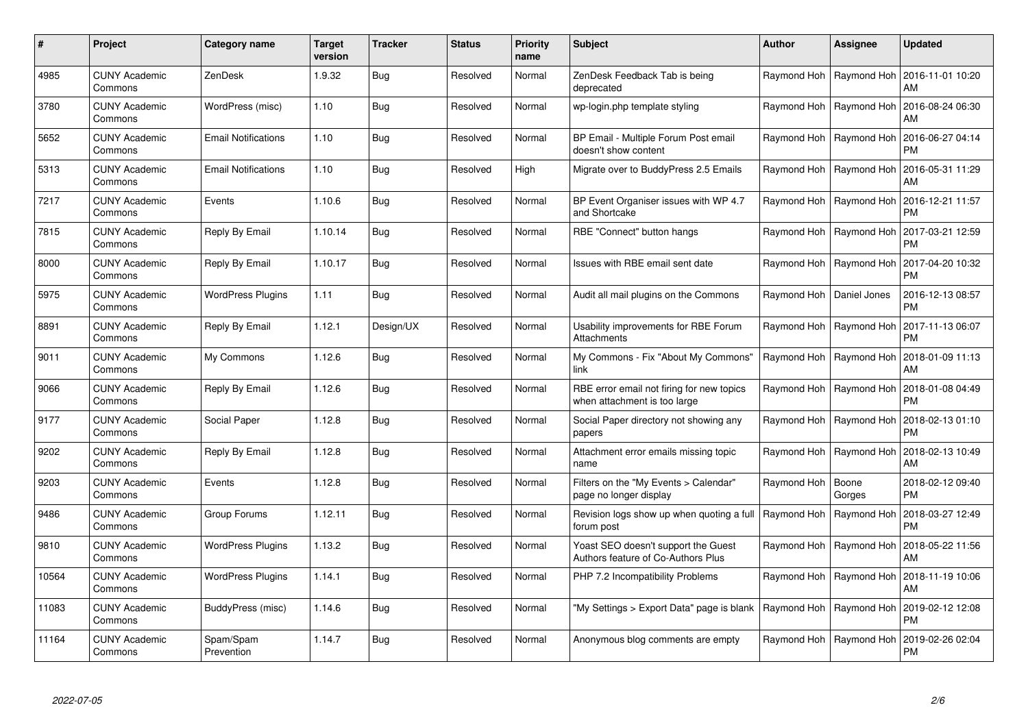| #     | Project                         | <b>Category name</b>       | <b>Target</b><br>version | <b>Tracker</b> | <b>Status</b> | <b>Priority</b><br>name | <b>Subject</b>                                                            | <b>Author</b>              | <b>Assignee</b> | <b>Updated</b>                |
|-------|---------------------------------|----------------------------|--------------------------|----------------|---------------|-------------------------|---------------------------------------------------------------------------|----------------------------|-----------------|-------------------------------|
| 4985  | <b>CUNY Academic</b><br>Commons | ZenDesk                    | 1.9.32                   | Bug            | Resolved      | Normal                  | ZenDesk Feedback Tab is being<br>deprecated                               | Raymond Hoh                | Raymond Hoh     | 2016-11-01 10:20<br>AM        |
| 3780  | <b>CUNY Academic</b><br>Commons | WordPress (misc)           | 1.10                     | <b>Bug</b>     | Resolved      | Normal                  | wp-login.php template styling                                             | Raymond Hoh                | Raymond Hoh     | 2016-08-24 06:30<br>AM        |
| 5652  | <b>CUNY Academic</b><br>Commons | <b>Email Notifications</b> | 1.10                     | <b>Bug</b>     | Resolved      | Normal                  | BP Email - Multiple Forum Post email<br>doesn't show content              | Raymond Hoh                | Raymond Hoh     | 2016-06-27 04:14<br><b>PM</b> |
| 5313  | <b>CUNY Academic</b><br>Commons | <b>Email Notifications</b> | 1.10                     | Bug            | Resolved      | High                    | Migrate over to BuddyPress 2.5 Emails                                     | Raymond Hoh                | Raymond Hoh     | 2016-05-31 11:29<br>AM        |
| 7217  | <b>CUNY Academic</b><br>Commons | Events                     | 1.10.6                   | <b>Bug</b>     | Resolved      | Normal                  | BP Event Organiser issues with WP 4.7<br>and Shortcake                    | Raymond Hoh   Raymond Hoh  |                 | 2016-12-21 11:57<br><b>PM</b> |
| 7815  | <b>CUNY Academic</b><br>Commons | Reply By Email             | 1.10.14                  | Bug            | Resolved      | Normal                  | RBE "Connect" button hangs                                                | Raymond Hoh                | Raymond Hoh     | 2017-03-21 12:59<br><b>PM</b> |
| 8000  | <b>CUNY Academic</b><br>Commons | Reply By Email             | 1.10.17                  | <b>Bug</b>     | Resolved      | Normal                  | Issues with RBE email sent date                                           | Raymond Hoh                | Raymond Hoh     | 2017-04-20 10:32<br><b>PM</b> |
| 5975  | <b>CUNY Academic</b><br>Commons | <b>WordPress Plugins</b>   | 1.11                     | Bug            | Resolved      | Normal                  | Audit all mail plugins on the Commons                                     | Raymond Hoh   Daniel Jones |                 | 2016-12-13 08:57<br><b>PM</b> |
| 8891  | <b>CUNY Academic</b><br>Commons | Reply By Email             | 1.12.1                   | Design/UX      | Resolved      | Normal                  | Usability improvements for RBE Forum<br>Attachments                       | Raymond Hoh   Raymond Hoh  |                 | 2017-11-13 06:07<br><b>PM</b> |
| 9011  | <b>CUNY Academic</b><br>Commons | My Commons                 | 1.12.6                   | Bug            | Resolved      | Normal                  | My Commons - Fix "About My Commons"<br>link                               | Raymond Hoh                | Raymond Hoh     | 2018-01-09 11:13<br>AM        |
| 9066  | <b>CUNY Academic</b><br>Commons | Reply By Email             | 1.12.6                   | Bug            | Resolved      | Normal                  | RBE error email not firing for new topics<br>when attachment is too large | Raymond Hoh                | Raymond Hoh     | 2018-01-08 04:49<br><b>PM</b> |
| 9177  | <b>CUNY Academic</b><br>Commons | Social Paper               | 1.12.8                   | Bug            | Resolved      | Normal                  | Social Paper directory not showing any<br>papers                          | Raymond Hoh                | Raymond Hoh     | 2018-02-13 01:10<br><b>PM</b> |
| 9202  | <b>CUNY Academic</b><br>Commons | Reply By Email             | 1.12.8                   | Bug            | Resolved      | Normal                  | Attachment error emails missing topic<br>name                             | Raymond Hoh                | Raymond Hoh     | 2018-02-13 10:49<br>AM        |
| 9203  | <b>CUNY Academic</b><br>Commons | Events                     | 1.12.8                   | Bug            | Resolved      | Normal                  | Filters on the "My Events > Calendar"<br>page no longer display           | Raymond Hoh                | Boone<br>Gorges | 2018-02-12 09:40<br><b>PM</b> |
| 9486  | <b>CUNY Academic</b><br>Commons | Group Forums               | 1.12.11                  | <b>Bug</b>     | Resolved      | Normal                  | Revision logs show up when quoting a full<br>forum post                   | Raymond Hoh                | Raymond Hoh     | 2018-03-27 12:49<br><b>PM</b> |
| 9810  | <b>CUNY Academic</b><br>Commons | <b>WordPress Plugins</b>   | 1.13.2                   | Bug            | Resolved      | Normal                  | Yoast SEO doesn't support the Guest<br>Authors feature of Co-Authors Plus | Raymond Hoh   Raymond Hoh  |                 | 2018-05-22 11:56<br>AM        |
| 10564 | <b>CUNY Academic</b><br>Commons | <b>WordPress Plugins</b>   | 1.14.1                   | <b>Bug</b>     | Resolved      | Normal                  | PHP 7.2 Incompatibility Problems                                          | Raymond Hoh   Raymond Hoh  |                 | 2018-11-19 10:06<br>AM        |
| 11083 | <b>CUNY Academic</b><br>Commons | BuddyPress (misc)          | 1.14.6                   | Bug            | Resolved      | Normal                  | "My Settings > Export Data" page is blank                                 | Raymond Hoh                | Raymond Hoh     | 2019-02-12 12:08<br><b>PM</b> |
| 11164 | <b>CUNY Academic</b><br>Commons | Spam/Spam<br>Prevention    | 1.14.7                   | <b>Bug</b>     | Resolved      | Normal                  | Anonymous blog comments are empty                                         | Raymond Hoh                | Raymond Hoh     | 2019-02-26 02:04<br>PM        |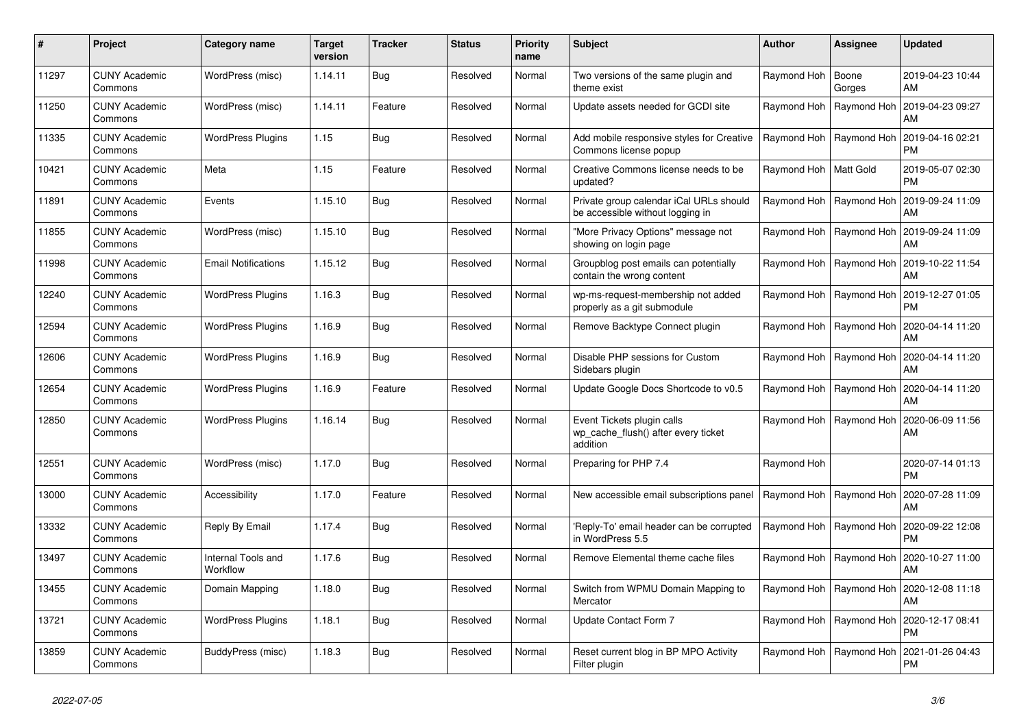| #     | Project                         | Category name                  | <b>Target</b><br>version | Tracker | <b>Status</b> | <b>Priority</b><br>name | <b>Subject</b>                                                                | <b>Author</b>             | Assignee                  | <b>Updated</b>                |
|-------|---------------------------------|--------------------------------|--------------------------|---------|---------------|-------------------------|-------------------------------------------------------------------------------|---------------------------|---------------------------|-------------------------------|
| 11297 | <b>CUNY Academic</b><br>Commons | WordPress (misc)               | 1.14.11                  | Bug     | Resolved      | Normal                  | Two versions of the same plugin and<br>theme exist                            | Raymond Hoh               | Boone<br>Gorges           | 2019-04-23 10:44<br>AM        |
| 11250 | <b>CUNY Academic</b><br>Commons | WordPress (misc)               | 1.14.11                  | Feature | Resolved      | Normal                  | Update assets needed for GCDI site                                            | Raymond Hoh               | Raymond Hoh               | 2019-04-23 09:27<br>AM        |
| 11335 | <b>CUNY Academic</b><br>Commons | <b>WordPress Plugins</b>       | 1.15                     | Bug     | Resolved      | Normal                  | Add mobile responsive styles for Creative<br>Commons license popup            | Raymond Hoh   Raymond Hoh |                           | 2019-04-16 02:21<br><b>PM</b> |
| 10421 | <b>CUNY Academic</b><br>Commons | Meta                           | 1.15                     | Feature | Resolved      | Normal                  | Creative Commons license needs to be<br>updated?                              | Raymond Hoh   Matt Gold   |                           | 2019-05-07 02:30<br><b>PM</b> |
| 11891 | <b>CUNY Academic</b><br>Commons | Events                         | 1.15.10                  | Bug     | Resolved      | Normal                  | Private group calendar iCal URLs should<br>be accessible without logging in   |                           | Raymond Hoh   Raymond Hoh | 2019-09-24 11:09<br>AM        |
| 11855 | <b>CUNY Academic</b><br>Commons | WordPress (misc)               | 1.15.10                  | Bug     | Resolved      | Normal                  | "More Privacy Options" message not<br>showing on login page                   |                           | Raymond Hoh   Raymond Hoh | 2019-09-24 11:09<br>AM        |
| 11998 | <b>CUNY Academic</b><br>Commons | <b>Email Notifications</b>     | 1.15.12                  | Bug     | Resolved      | Normal                  | Groupblog post emails can potentially<br>contain the wrong content            |                           | Raymond Hoh   Raymond Hoh | 2019-10-22 11:54<br>AM        |
| 12240 | <b>CUNY Academic</b><br>Commons | <b>WordPress Plugins</b>       | 1.16.3                   | Bug     | Resolved      | Normal                  | wp-ms-request-membership not added<br>properly as a git submodule             |                           | Raymond Hoh   Raymond Hoh | 2019-12-27 01:05<br><b>PM</b> |
| 12594 | CUNY Academic<br>Commons        | <b>WordPress Plugins</b>       | 1.16.9                   | Bug     | Resolved      | Normal                  | Remove Backtype Connect plugin                                                | Raymond Hoh               | Raymond Hoh               | 2020-04-14 11:20<br>AM        |
| 12606 | <b>CUNY Academic</b><br>Commons | <b>WordPress Plugins</b>       | 1.16.9                   | Bug     | Resolved      | Normal                  | Disable PHP sessions for Custom<br>Sidebars plugin                            |                           | Raymond Hoh   Raymond Hoh | 2020-04-14 11:20<br>AM        |
| 12654 | <b>CUNY Academic</b><br>Commons | <b>WordPress Plugins</b>       | 1.16.9                   | Feature | Resolved      | Normal                  | Update Google Docs Shortcode to v0.5                                          |                           | Raymond Hoh   Raymond Hoh | 2020-04-14 11:20<br>AM        |
| 12850 | <b>CUNY Academic</b><br>Commons | <b>WordPress Plugins</b>       | 1.16.14                  | Bug     | Resolved      | Normal                  | Event Tickets plugin calls<br>wp cache flush() after every ticket<br>addition |                           | Raymond Hoh   Raymond Hoh | 2020-06-09 11:56<br>AM        |
| 12551 | <b>CUNY Academic</b><br>Commons | WordPress (misc)               | 1.17.0                   | Bug     | Resolved      | Normal                  | Preparing for PHP 7.4                                                         | Raymond Hoh               |                           | 2020-07-14 01:13<br><b>PM</b> |
| 13000 | CUNY Academic<br>Commons        | Accessibility                  | 1.17.0                   | Feature | Resolved      | Normal                  | New accessible email subscriptions panel                                      |                           | Raymond Hoh   Raymond Hoh | 2020-07-28 11:09<br>AM        |
| 13332 | <b>CUNY Academic</b><br>Commons | Reply By Email                 | 1.17.4                   | Bug     | Resolved      | Normal                  | Reply-To' email header can be corrupted<br>in WordPress 5.5                   | Raymond Hoh   Raymond Hoh |                           | 2020-09-22 12:08<br><b>PM</b> |
| 13497 | <b>CUNY Academic</b><br>Commons | Internal Tools and<br>Workflow | 1.17.6                   | Bug     | Resolved      | Normal                  | Remove Elemental theme cache files                                            | Raymond Hoh   Raymond Hoh |                           | 2020-10-27 11:00<br>AM        |
| 13455 | CUNY Academic<br>Commons        | Domain Mapping                 | 1.18.0                   | Bug     | Resolved      | Normal                  | Switch from WPMU Domain Mapping to<br>Mercator                                |                           | Raymond Hoh   Raymond Hoh | 2020-12-08 11:18<br>AM        |
| 13721 | <b>CUNY Academic</b><br>Commons | <b>WordPress Plugins</b>       | 1.18.1                   | Bug     | Resolved      | Normal                  | Update Contact Form 7                                                         |                           | Raymond Hoh   Raymond Hoh | 2020-12-17 08:41<br><b>PM</b> |
| 13859 | CUNY Academic<br>Commons        | BuddyPress (misc)              | 1.18.3                   | Bug     | Resolved      | Normal                  | Reset current blog in BP MPO Activity<br>Filter plugin                        |                           | Raymond Hoh   Raymond Hoh | 2021-01-26 04:43<br><b>PM</b> |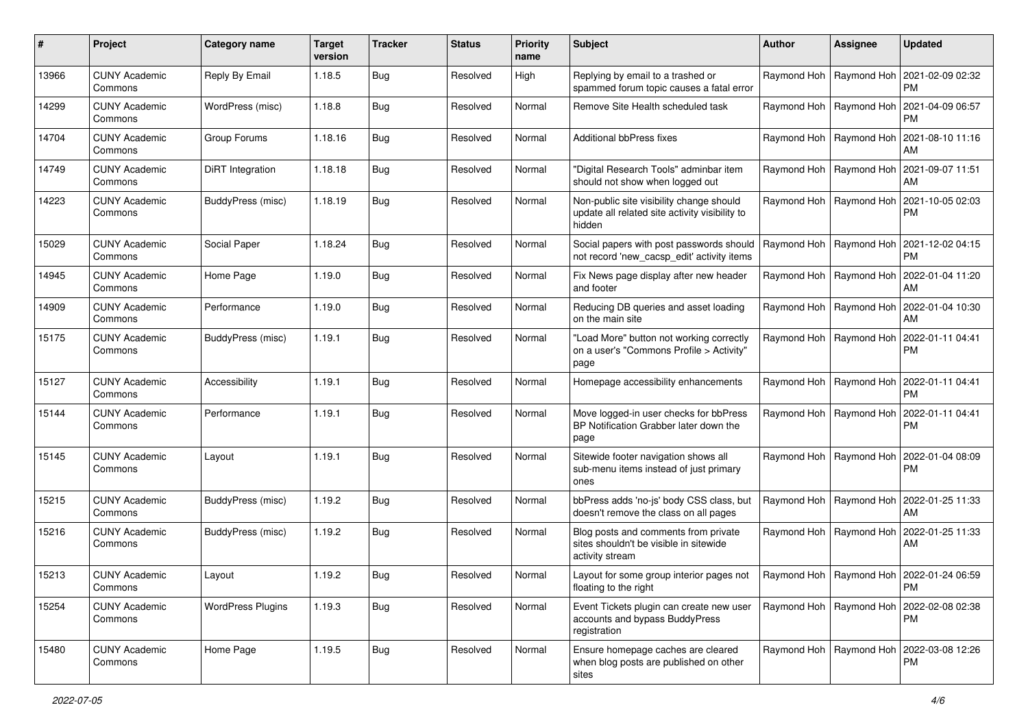| #     | Project                         | Category name            | <b>Target</b><br>version | <b>Tracker</b> | <b>Status</b> | <b>Priority</b><br>name | Subject                                                                                              | <b>Author</b> | <b>Assignee</b>           | <b>Updated</b>                                     |
|-------|---------------------------------|--------------------------|--------------------------|----------------|---------------|-------------------------|------------------------------------------------------------------------------------------------------|---------------|---------------------------|----------------------------------------------------|
| 13966 | <b>CUNY Academic</b><br>Commons | Reply By Email           | 1.18.5                   | <b>Bug</b>     | Resolved      | High                    | Replying by email to a trashed or<br>spammed forum topic causes a fatal error                        |               | Raymond Hoh   Raymond Hoh | 2021-02-09 02:32<br><b>PM</b>                      |
| 14299 | <b>CUNY Academic</b><br>Commons | WordPress (misc)         | 1.18.8                   | Bug            | Resolved      | Normal                  | Remove Site Health scheduled task                                                                    |               | Raymond Hoh   Raymond Hoh | 2021-04-09 06:57<br><b>PM</b>                      |
| 14704 | <b>CUNY Academic</b><br>Commons | Group Forums             | 1.18.16                  | Bug            | Resolved      | Normal                  | <b>Additional bbPress fixes</b>                                                                      |               | Raymond Hoh   Raymond Hoh | 2021-08-10 11:16<br>AM                             |
| 14749 | <b>CUNY Academic</b><br>Commons | DiRT Integration         | 1.18.18                  | Bug            | Resolved      | Normal                  | "Digital Research Tools" adminbar item<br>should not show when logged out                            |               | Raymond Hoh   Raymond Hoh | 2021-09-07 11:51<br>AM                             |
| 14223 | <b>CUNY Academic</b><br>Commons | BuddyPress (misc)        | 1.18.19                  | <b>Bug</b>     | Resolved      | Normal                  | Non-public site visibility change should<br>update all related site activity visibility to<br>hidden |               | Raymond Hoh   Raymond Hoh | 2021-10-05 02:03<br><b>PM</b>                      |
| 15029 | <b>CUNY Academic</b><br>Commons | Social Paper             | 1.18.24                  | Bug            | Resolved      | Normal                  | Social papers with post passwords should<br>not record 'new_cacsp_edit' activity items               |               | Raymond Hoh   Raymond Hoh | 2021-12-02 04:15<br><b>PM</b>                      |
| 14945 | <b>CUNY Academic</b><br>Commons | Home Page                | 1.19.0                   | Bug            | Resolved      | Normal                  | Fix News page display after new header<br>and footer                                                 |               | Raymond Hoh   Raymond Hoh | 2022-01-04 11:20<br>AM                             |
| 14909 | <b>CUNY Academic</b><br>Commons | Performance              | 1.19.0                   | <b>Bug</b>     | Resolved      | Normal                  | Reducing DB queries and asset loading<br>on the main site                                            |               | Raymond Hoh   Raymond Hoh | 2022-01-04 10:30<br>AM                             |
| 15175 | <b>CUNY Academic</b><br>Commons | BuddyPress (misc)        | 1.19.1                   | <b>Bug</b>     | Resolved      | Normal                  | "Load More" button not working correctly<br>on a user's "Commons Profile > Activity"<br>page         |               | Raymond Hoh   Raymond Hoh | 2022-01-11 04:41<br><b>PM</b>                      |
| 15127 | <b>CUNY Academic</b><br>Commons | Accessibility            | 1.19.1                   | <b>Bug</b>     | Resolved      | Normal                  | Homepage accessibility enhancements                                                                  |               | Raymond Hoh   Raymond Hoh | 2022-01-11 04:41<br><b>PM</b>                      |
| 15144 | <b>CUNY Academic</b><br>Commons | Performance              | 1.19.1                   | <b>Bug</b>     | Resolved      | Normal                  | Move logged-in user checks for bbPress<br>BP Notification Grabber later down the<br>page             |               | Raymond Hoh   Raymond Hoh | 2022-01-11 04:41<br><b>PM</b>                      |
| 15145 | <b>CUNY Academic</b><br>Commons | Layout                   | 1.19.1                   | <b>Bug</b>     | Resolved      | Normal                  | Sitewide footer navigation shows all<br>sub-menu items instead of just primary<br>ones               |               | Raymond Hoh   Raymond Hoh | 2022-01-04 08:09<br><b>PM</b>                      |
| 15215 | <b>CUNY Academic</b><br>Commons | BuddyPress (misc)        | 1.19.2                   | <b>Bug</b>     | Resolved      | Normal                  | bbPress adds 'no-js' body CSS class, but<br>doesn't remove the class on all pages                    |               | Raymond Hoh   Raymond Hoh | 2022-01-25 11:33<br>AM                             |
| 15216 | <b>CUNY Academic</b><br>Commons | BuddyPress (misc)        | 1.19.2                   | Bug            | Resolved      | Normal                  | Blog posts and comments from private<br>sites shouldn't be visible in sitewide<br>activity stream    |               | Raymond Hoh   Raymond Hoh | 2022-01-25 11:33<br>AM                             |
| 15213 | <b>CUNY Academic</b><br>Commons | Layout                   | 1.19.2                   | Bug            | Resolved      | Normal                  | Layout for some group interior pages not<br>floating to the right                                    |               |                           | Raymond Hoh   Raymond Hoh   2022-01-24 06:59<br>PM |
| 15254 | <b>CUNY Academic</b><br>Commons | <b>WordPress Plugins</b> | 1.19.3                   | Bug            | Resolved      | Normal                  | Event Tickets plugin can create new user<br>accounts and bypass BuddyPress<br>registration           |               | Raymond Hoh   Raymond Hoh | 2022-02-08 02:38<br><b>PM</b>                      |
| 15480 | <b>CUNY Academic</b><br>Commons | Home Page                | 1.19.5                   | Bug            | Resolved      | Normal                  | Ensure homepage caches are cleared<br>when blog posts are published on other<br>sites                |               | Raymond Hoh   Raymond Hoh | 2022-03-08 12:26<br>PM                             |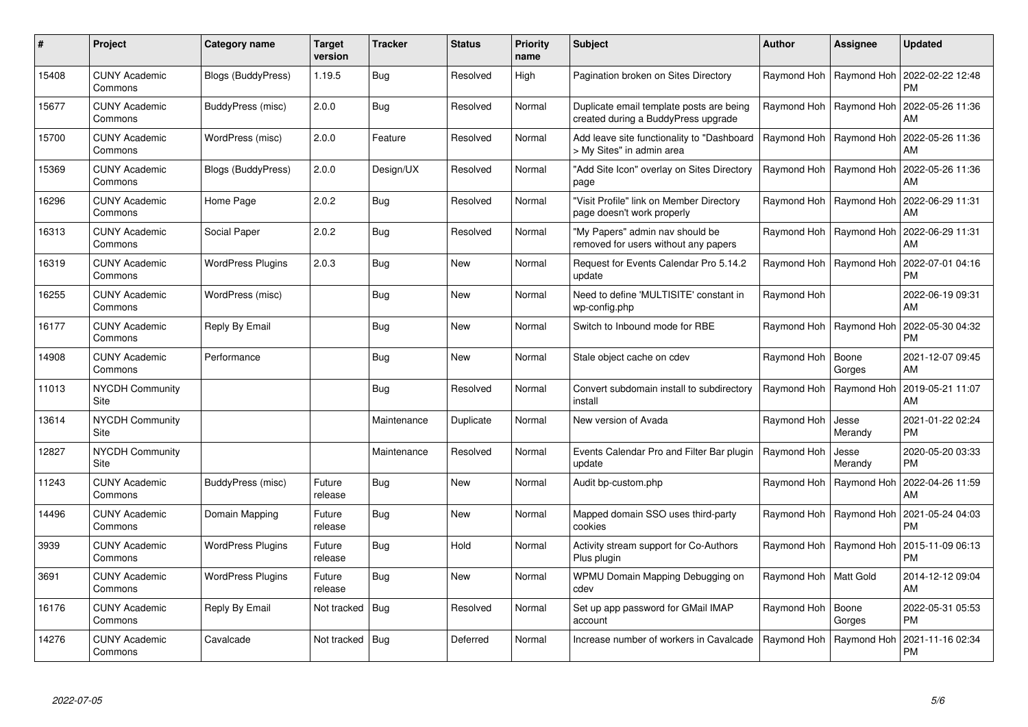| $\#$  | <b>Project</b>                  | Category name            | <b>Target</b><br>version | Tracker     | <b>Status</b> | <b>Priority</b><br>name | <b>Subject</b>                                                                  | Author                  | Assignee                  | <b>Updated</b>                                            |
|-------|---------------------------------|--------------------------|--------------------------|-------------|---------------|-------------------------|---------------------------------------------------------------------------------|-------------------------|---------------------------|-----------------------------------------------------------|
| 15408 | <b>CUNY Academic</b><br>Commons | Blogs (BuddyPress)       | 1.19.5                   | Bug         | Resolved      | High                    | Pagination broken on Sites Directory                                            |                         |                           | Raymond Hoh   Raymond Hoh   2022-02-22 12:48<br><b>PM</b> |
| 15677 | <b>CUNY Academic</b><br>Commons | BuddyPress (misc)        | 2.0.0                    | Bug         | Resolved      | Normal                  | Duplicate email template posts are being<br>created during a BuddyPress upgrade |                         | Raymond Hoh   Raymond Hoh | 2022-05-26 11:36<br>AM                                    |
| 15700 | <b>CUNY Academic</b><br>Commons | WordPress (misc)         | 2.0.0                    | Feature     | Resolved      | Normal                  | Add leave site functionality to "Dashboard<br>> My Sites" in admin area         |                         | Raymond Hoh   Raymond Hoh | 2022-05-26 11:36<br>AM                                    |
| 15369 | <b>CUNY Academic</b><br>Commons | Blogs (BuddyPress)       | 2.0.0                    | Design/UX   | Resolved      | Normal                  | "Add Site Icon" overlay on Sites Directory<br>page                              |                         | Raymond Hoh   Raymond Hoh | 2022-05-26 11:36<br>AM                                    |
| 16296 | <b>CUNY Academic</b><br>Commons | Home Page                | 2.0.2                    | <b>Bug</b>  | Resolved      | Normal                  | "Visit Profile" link on Member Directory<br>page doesn't work properly          |                         | Raymond Hoh   Raymond Hoh | 2022-06-29 11:31<br>AM                                    |
| 16313 | <b>CUNY Academic</b><br>Commons | Social Paper             | 2.0.2                    | <b>Bug</b>  | Resolved      | Normal                  | "My Papers" admin nav should be<br>removed for users without any papers         |                         | Raymond Hoh   Raymond Hoh | 2022-06-29 11:31<br>AM                                    |
| 16319 | <b>CUNY Academic</b><br>Commons | <b>WordPress Plugins</b> | 2.0.3                    | <b>Bug</b>  | <b>New</b>    | Normal                  | Request for Events Calendar Pro 5.14.2<br>update                                |                         | Raymond Hoh   Raymond Hoh | 2022-07-01 04:16<br><b>PM</b>                             |
| 16255 | <b>CUNY Academic</b><br>Commons | WordPress (misc)         |                          | <b>Bug</b>  | New           | Normal                  | Need to define 'MULTISITE' constant in<br>wp-config.php                         | Raymond Hoh             |                           | 2022-06-19 09:31<br>AM                                    |
| 16177 | <b>CUNY Academic</b><br>Commons | Reply By Email           |                          | Bug         | <b>New</b>    | Normal                  | Switch to Inbound mode for RBE                                                  |                         | Raymond Hoh   Raymond Hoh | 2022-05-30 04:32<br><b>PM</b>                             |
| 14908 | <b>CUNY Academic</b><br>Commons | Performance              |                          | <b>Bug</b>  | <b>New</b>    | Normal                  | Stale object cache on cdev                                                      | Raymond Hoh             | Boone<br>Gorges           | 2021-12-07 09:45<br>AM                                    |
| 11013 | NYCDH Community<br>Site         |                          |                          | <b>Bug</b>  | Resolved      | Normal                  | Convert subdomain install to subdirectory<br>install                            | Raymond Hoh             | Raymond Hoh               | 2019-05-21 11:07<br>AM                                    |
| 13614 | <b>NYCDH Community</b><br>Site  |                          |                          | Maintenance | Duplicate     | Normal                  | New version of Avada                                                            | Raymond Hoh             | Jesse<br>Merandy          | 2021-01-22 02:24<br><b>PM</b>                             |
| 12827 | <b>NYCDH Community</b><br>Site  |                          |                          | Maintenance | Resolved      | Normal                  | Events Calendar Pro and Filter Bar plugin<br>update                             | Raymond Hoh             | Jesse<br>Merandy          | 2020-05-20 03:33<br><b>PM</b>                             |
| 11243 | <b>CUNY Academic</b><br>Commons | BuddyPress (misc)        | Future<br>release        | <b>Bug</b>  | <b>New</b>    | Normal                  | Audit bp-custom.php                                                             |                         | Raymond Hoh   Raymond Hoh | 2022-04-26 11:59<br>AM                                    |
| 14496 | <b>CUNY Academic</b><br>Commons | Domain Mapping           | Future<br>release        | <b>Bug</b>  | <b>New</b>    | Normal                  | Mapped domain SSO uses third-party<br>cookies                                   |                         | Raymond Hoh   Raymond Hoh | 2021-05-24 04:03<br><b>PM</b>                             |
| 3939  | <b>CUNY Academic</b><br>Commons | <b>WordPress Plugins</b> | Future<br>release        | Bug         | Hold          | Normal                  | Activity stream support for Co-Authors<br>Plus plugin                           |                         | Raymond Hoh   Raymond Hoh | 2015-11-09 06:13<br><b>PM</b>                             |
| 3691  | <b>CUNY Academic</b><br>Commons | <b>WordPress Plugins</b> | Future<br>release        | <b>Bug</b>  | <b>New</b>    | Normal                  | WPMU Domain Mapping Debugging on<br>cdev                                        | Raymond Hoh   Matt Gold |                           | 2014-12-12 09:04<br>AM                                    |
| 16176 | <b>CUNY Academic</b><br>Commons | Reply By Email           | Not tracked   Bug        |             | Resolved      | Normal                  | Set up app password for GMail IMAP<br>account                                   | Raymond Hoh             | Boone<br>Gorges           | 2022-05-31 05:53<br><b>PM</b>                             |
| 14276 | <b>CUNY Academic</b><br>Commons | Cavalcade                | Not tracked   Bug        |             | Deferred      | Normal                  | Increase number of workers in Cavalcade                                         | Raymond Hoh             | Raymond Hoh               | 2021-11-16 02:34<br><b>PM</b>                             |